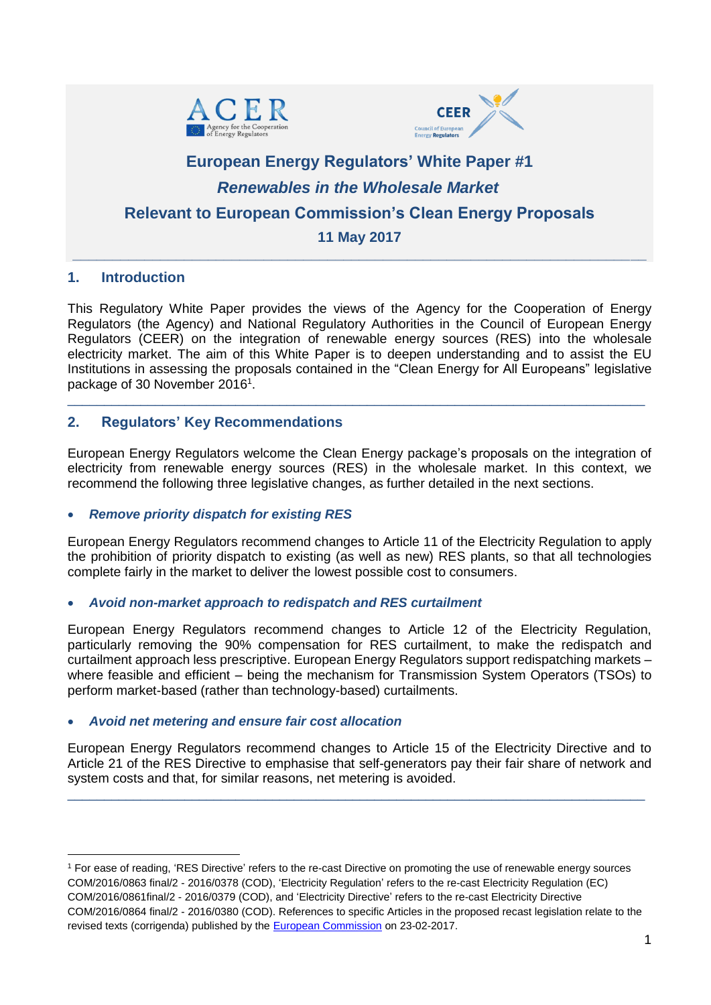



# **European Energy Regulators' White Paper #1** *Renewables in the Wholesale Market*  **Relevant to European Commission's Clean Energy Proposals 11 May 2017**

**\_\_\_\_\_\_\_\_\_\_\_\_\_\_\_\_\_\_\_\_\_\_\_\_\_\_\_\_\_\_\_\_\_\_\_\_\_\_\_\_\_\_\_\_\_\_\_\_\_\_\_\_\_\_\_\_\_\_\_\_\_\_\_\_\_\_\_\_\_\_\_\_**

#### **1. Introduction**

-

This Regulatory White Paper provides the views of the Agency for the Cooperation of Energy Regulators (the Agency) and National Regulatory Authorities in the Council of European Energy Regulators (CEER) on the integration of renewable energy sources (RES) into the wholesale electricity market. The aim of this White Paper is to deepen understanding and to assist the EU Institutions in assessing the proposals contained in the "Clean Energy for All Europeans" legislative package of 30 November 2016<sup>1</sup>.

\_\_\_\_\_\_\_\_\_\_\_\_\_\_\_\_\_\_\_\_\_\_\_\_\_\_\_\_\_\_\_\_\_\_\_\_\_\_\_\_\_\_\_\_\_\_\_\_\_\_\_\_\_\_\_\_\_\_\_\_\_\_\_\_\_\_\_\_\_\_\_\_\_\_\_\_\_\_\_

#### **2. Regulators' Key Recommendations**

European Energy Regulators welcome the Clean Energy package's proposals on the integration of electricity from renewable energy sources (RES) in the wholesale market. In this context, we recommend the following three legislative changes, as further detailed in the next sections.

#### *Remove priority dispatch for existing RES*

European Energy Regulators recommend changes to Article 11 of the Electricity Regulation to apply the prohibition of priority dispatch to existing (as well as new) RES plants, so that all technologies complete fairly in the market to deliver the lowest possible cost to consumers.

#### *Avoid non-market approach to redispatch and RES curtailment*

European Energy Regulators recommend changes to Article 12 of the Electricity Regulation, particularly removing the 90% compensation for RES curtailment, to make the redispatch and curtailment approach less prescriptive. European Energy Regulators support redispatching markets – where feasible and efficient – being the mechanism for Transmission System Operators (TSOs) to perform market-based (rather than technology-based) curtailments.

#### *Avoid net metering and ensure fair cost allocation*

European Energy Regulators recommend changes to Article 15 of the Electricity Directive and to Article 21 of the RES Directive to emphasise that self-generators pay their fair share of network and system costs and that, for similar reasons, net metering is avoided.

\_\_\_\_\_\_\_\_\_\_\_\_\_\_\_\_\_\_\_\_\_\_\_\_\_\_\_\_\_\_\_\_\_\_\_\_\_\_\_\_\_\_\_\_\_\_\_\_\_\_\_\_\_\_\_\_\_\_\_\_\_\_\_\_\_\_\_\_\_\_\_\_\_\_\_\_\_\_\_

<sup>1</sup> For ease of reading, 'RES Directive' refers to the re-cast Directive on promoting the use of renewable energy sources COM/2016/0863 final/2 - 2016/0378 (COD), 'Electricity Regulation' refers to the re-cast Electricity Regulation (EC) COM/2016/0861final/2 - 2016/0379 (COD), and 'Electricity Directive' refers to the re-cast Electricity Directive COM/2016/0864 final/2 - 2016/0380 (COD). References to specific Articles in the proposed recast legislation relate to the revised texts (corrigenda) published by the **[European Commission](https://ec.europa.eu/energy/en/news/commission-proposes-new-rules-consumer-centred-clean-energy-transition)** on 23-02-2017.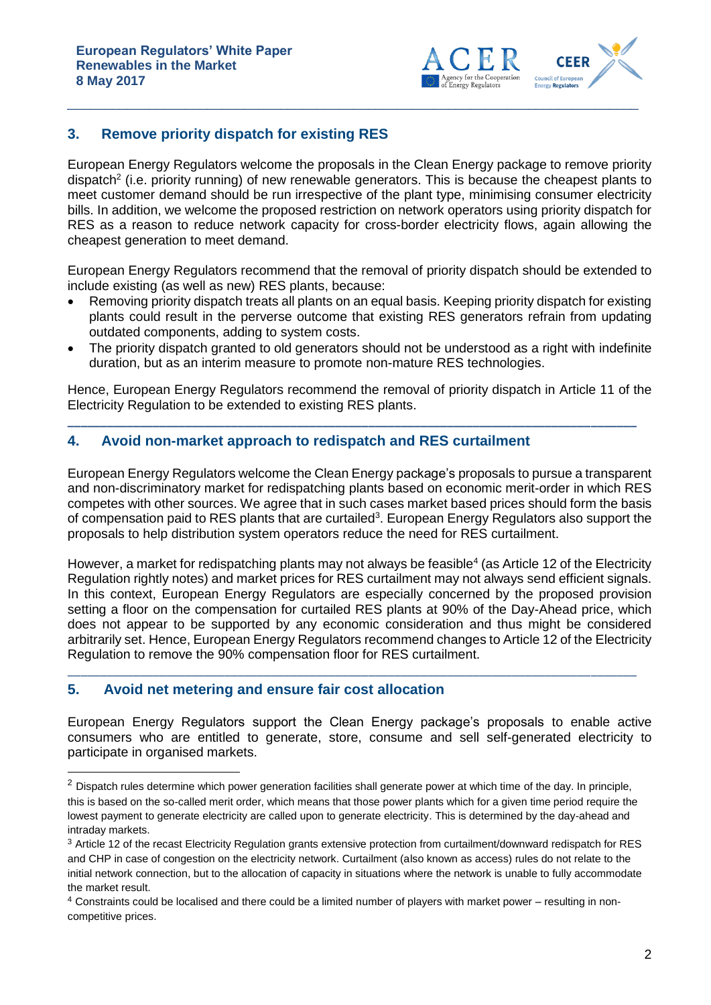

## **3. Remove priority dispatch for existing RES**

European Energy Regulators welcome the proposals in the Clean Energy package to remove priority dispatch<sup>2</sup> (i.e. priority running) of new renewable generators. This is because the cheapest plants to meet customer demand should be run irrespective of the plant type, minimising consumer electricity bills. In addition, we welcome the proposed restriction on network operators using priority dispatch for RES as a reason to reduce network capacity for cross-border electricity flows, again allowing the cheapest generation to meet demand.

\_\_\_\_\_\_\_\_\_\_\_\_\_\_\_\_\_\_\_\_\_\_\_\_\_\_\_\_\_\_\_\_\_\_\_\_\_\_\_\_\_\_\_\_\_\_\_\_\_\_\_\_\_\_\_\_\_\_\_\_\_\_\_\_\_\_\_\_\_\_\_\_\_\_\_\_\_\_\_

European Energy Regulators recommend that the removal of priority dispatch should be extended to include existing (as well as new) RES plants, because:

- Removing priority dispatch treats all plants on an equal basis. Keeping priority dispatch for existing plants could result in the perverse outcome that existing RES generators refrain from updating outdated components, adding to system costs.
- The priority dispatch granted to old generators should not be understood as a right with indefinite duration, but as an interim measure to promote non-mature RES technologies.

Hence, European Energy Regulators recommend the removal of priority dispatch in Article 11 of the Electricity Regulation to be extended to existing RES plants.

**\_\_\_\_\_\_\_\_\_\_\_\_\_\_\_\_\_\_\_\_\_\_\_\_\_\_\_\_\_\_\_\_\_\_\_\_\_\_\_\_\_\_\_\_\_\_\_\_\_\_\_\_\_\_\_\_\_\_\_\_\_\_\_\_\_\_\_\_\_\_\_\_\_\_\_\_\_\_\_\_\_\_\_\_\_\_\_**

#### **4. Avoid non-market approach to redispatch and RES curtailment**

European Energy Regulators welcome the Clean Energy package's proposals to pursue a transparent and non-discriminatory market for redispatching plants based on economic merit-order in which RES competes with other sources. We agree that in such cases market based prices should form the basis of compensation paid to RES plants that are curtailed<sup>3</sup>. European Energy Regulators also support the proposals to help distribution system operators reduce the need for RES curtailment.

However, a market for redispatching plants may not always be feasible<sup>4</sup> (as Article 12 of the Electricity Regulation rightly notes) and market prices for RES curtailment may not always send efficient signals. In this context, European Energy Regulators are especially concerned by the proposed provision setting a floor on the compensation for curtailed RES plants at 90% of the Day-Ahead price, which does not appear to be supported by any economic consideration and thus might be considered arbitrarily set. Hence, European Energy Regulators recommend changes to Article 12 of the Electricity Regulation to remove the 90% compensation floor for RES curtailment.

\_\_\_\_\_\_\_\_\_\_\_\_\_\_\_\_\_\_\_\_\_\_\_\_\_\_\_\_\_\_\_\_\_\_\_\_\_\_\_\_\_\_\_\_\_\_\_\_\_\_\_\_\_\_\_\_\_\_\_\_\_\_\_\_\_\_\_\_\_\_\_\_\_\_\_\_\_\_\_\_\_\_\_\_\_\_\_

## **5. Avoid net metering and ensure fair cost allocation**

-

European Energy Regulators support the Clean Energy package's proposals to enable active consumers who are entitled to generate, store, consume and sell self-generated electricity to participate in organised markets.

<sup>&</sup>lt;sup>2</sup> Dispatch rules determine which power generation facilities shall generate power at which time of the day. In principle, this is based on the so-called merit order, which means that those power plants which for a given time period require the lowest payment to generate electricity are called upon to generate electricity. This is determined by the day-ahead and intraday markets.

<sup>3</sup> Article 12 of the recast Electricity Regulation grants extensive protection from curtailment/downward redispatch for RES and CHP in case of congestion on the electricity network. Curtailment (also known as access) rules do not relate to the initial network connection, but to the allocation of capacity in situations where the network is unable to fully accommodate the market result.

<sup>4</sup> Constraints could be localised and there could be a limited number of players with market power – resulting in noncompetitive prices.